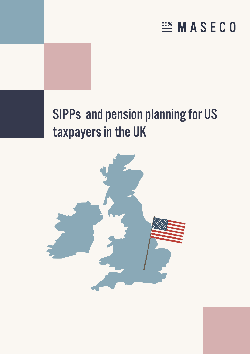# **EMASECO**

# SIPPs and pension planning for US taxpayers in the UK

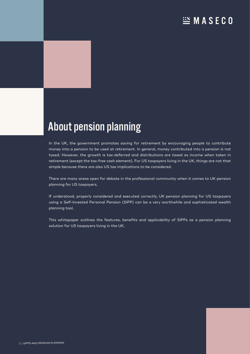## About pension planning

In the UK, the government promotes saving for retirement by encouraging people to contribute money into a pension to be used at retirement. In general, money contributed into a pension is not taxed. However, the growth is tax-deferred and distributions are taxed as income when taken in retirement (except the tax-free cash element). For US taxpayers living in the UK, things are not that simple because there are also US tax implications to be considered.

There are many areas open for debate in the professional community when it comes to UK pension planning for US taxpayers.

If understood, properly considered and executed correctly, UK pension planning for US taxpayers using a Self-Invested Personal Pension (SIPP) can be a very worthwhile and sophisticated wealth planning tool.

This whitepaper outlines the features, benefits and applicability of SIPPs as a pension planning solution for US taxpayers living in the UK.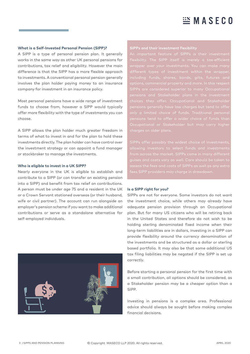### **What is a Self-Invested Personal Pension (SIPP)?**

A SIPP is a type of personal pension plan. It generally works in the same way as other UK personal pensions for contributions, tax relief and eligibility. However the main difference is that the SIPP has a more flexible approach to investments. A conventional personal pension generally involves the plan holder paying money to an insurance company for investment in an insurance policy.

Most personal pensions have a wide range of investment funds to choose from, however a SIPP would typically offer more flexibility with the type of investments you can choose.

A SIPP allows the plan holder much greater freedom in terms of what to invest in and for the plan to hold these investments directly. The plan holder can have control over the investment strategy or can appoint a fund manager or stockbroker to manage the investments.

#### **Who is eligible to invest in a UK SIPP?**

Nearly everyone in the UK is eligible to establish and contribute to a SIPP (or can transfer an existing pension into a SIPP) and benefit from tax relief on contributions. A person must be under age 75 and a resident in the UK or a Crown Servant stationed overseas (or their husband, wife or civil partner). The account can run alongside an employer's pension scheme if you want to make additional contributions or serve as a standalone alternative for self-employed individuals.



rapper over your investments. You can make many pensions and Stakeholder plans in the investment  $choice$  they offer. Occupational and  $Stakehole$ pensions tend to offer a wider choice of funds than

SIPPs offer possibly the widest choice of investments,

#### **Is a SIPP right for you?**

SIPPs are not for everyone. Some investors do not want the investment choice, while others may already have adequate pension provision through an Occupational plan. But for many US citizens who will be retiring back in the United States and therefore do not wish to be holding sterling denominated fixed income when their long-term liabilities are in dollars, investing in a SIPP can provide flexibility around the currency denomination of the investments and be structured as a dollar or sterling based portfolio. It may also be that some additional US tax filing liabilities may be negated if the SIPP is set up correctly.

Before starting a personal pension for the first time with a small contribution, all options should be considered, as a Stakeholder pension may be a cheaper option than a SIPP.

Investing in pensions is a complex area. Professional advice should always be sought before making complex financial decisions.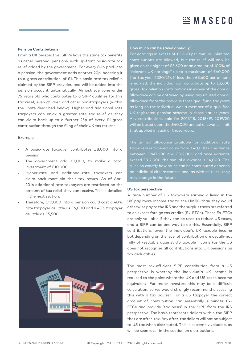#### **Pension Contributions**

From a UK perspective, SIPPs have the same tax benefits as other personal pensions, with up-front basic-rate tax relief added by the government. For every 80p paid into a pension, the government adds another 20p, boosting it to a 'gross contribution' of £1. This basic-rate tax relief is claimed by the SIPP provider, and will be added into the pension account automatically. Almost everyone under 75 years old who contributes to a SIPP qualifies for this tax relief, even children and other non-taxpayers (within the limits described below). Higher and additional rate taxpayers can enjoy a greater rate tax relief as they can claim back up to a further 25p of every £1 gross contribution through the filing of their UK tax returns.

#### Example:

- A basic-rate taxpayer contributes £8,000 into a pension.
- The government add £2,000, to make a total investment of £10,000
- Higher-rate and additional-rate taxpayers can claim back more via their tax return. As of April 2016 additional-rate taxpayers are restricted on the amount of tax relief they can receive. This is detailed in the next section.
- Therefore, £10,000 into a pension could cost a 40% rate taxpayer as little as £6,000 and a 45% taxpayer as little as £5,500.



#### **How much can be saved annually?**

For earnings in excess of £3,600 per annum unlimited given on the higher of £3,600 or an amount of 100% of "relevant UK earnings" up to a maximum of £40,000 (for tax year 2020/21). If less than £3,600 per annum is earned, the individual can contribute up to £3,600 gross. Tax relief on contributions in excess of the annual allowance can be obtained by using any unused annual allowance from the previous three qualifying tax years as long as the individual was a member of a qualified UK registered pension scheme in those earlier years. Any contributions paid for 2017/18, 2018/19, 2019/20 will be based upon the £40,000 annual allowance limit that applied in each of those years.

The annual allowance available for additional rate taxpayers is tapered down from £40,000 on earnings between £240,000 and £312,000 and once earnings exceed £312,000, the annual allowance is £4,000 . The rules on exactly how much can be contributed depends may change in the future.

#### **US tax perspective**

A large number of US taxpayers earning a living in the UK pay more income tax to the HMRC than they would otherwise pay to the IRS and the surplus taxes are referred to as excess foreign tax credits (Ex-FTCs). These Ex-FTCs are only valuable if they can be used to reduce US taxes, and a SIPP can be one way to do this. Essentially, SIPP contributions lower the individual's UK taxable income but depending on the level of contribution are usually not fully off-settable against US taxable income (as the US does not recognise all contributions into UK pensions as tax deductible).

The most tax-efficient SIPP contribution from a US perspective is whereby the individual's UK income is reduced to the point where the UK and US taxes become equivalent. For many investors this may be a difficult calculation, so we would strongly recommend discussing this with a tax adviser. For a US taxpayer the correct amount of contribution can essentially eliminate Ex-FTCs and provide 'tax basis' in the SIPP from the IRS perspective. Tax basis represents dollars within the SIPP that are after-tax. Any after-tax dollars will not be subject to US tax when distributed. This is extremely valuable, as will be seen later in the section on distributions.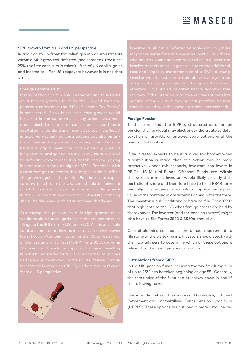#### **SIPP growth from a UK and US perspective**

In addition to up-front tax relief, growth on investments within a SIPP grow tax-deferred (and some tax-free if the 25% tax free cash sum is taken) - free of UK capital gains and income tax. For US taxpayers however it is not that simple:

#### **Foreign Grantor Trust**

is acquired not only on contributions but also on any growth within the pension. For some, it may be more the growth against the credits. For those that expect in the US and again on drawdown in the UK). Planning

of the foreign grantor trust/SIPP. For a US taxpayer in Investment Companies (PFICs) and are tax-inefficient



strategy if the intention is to take retirement benefits

#### **Foreign Pension**

To the extent that the SIPP is structured as a foreign pension the individual may elect under the treaty to defer taxation of growth, or untaxed contributions until the point of distribution.

If an investor expects to be in a lower tax bracket when a distribution is made, then this option may be more attractive. Under this scenario, investors can invest in PFICs, US Mutual Funds, Offshore Funds, etc. Within this structure most investors would likely custody their portfolio offshore and therefore have to file a FBAR form annually. This requires individuals to capture the highest value of the portfolio in dollar terms annually for the form. The investor would additionally have to file Form 8938 that highlights to the IRS what foreign assets are held by thetaxpayer. The investor (and the pension trustee) might also have to file Forms 3520 & 3520a annually.

Careful planning can reduce the annual requirement to file some of the US tax forms. Investors should speak with their tax advisers to determine which of these options is relevant to their own personal situation.

### **Distributions from a SIPP**

In the UK, pension funds including the tax-free lump sum of up to 25% can be taken beginning at age 55. Generally, the remainder of the fund can be drawn down in one of the following forms:

Lifetime Annuities, Flexi-access Drawdown, Phased Retirement and Uncrystallised Funds Pension Lump Sum (UFPLS). These options are outlined in more detail below.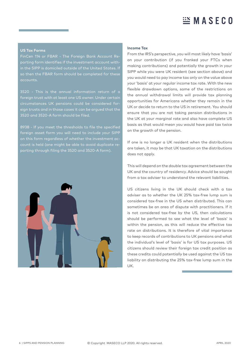#### **US Tax Forms**

FinCen 114 or FBAR - The Foreign Bank Account Reporting form identifies if the investment account within the SIPP is domiciled outside of the United States. If so then the FBAR form should be completed for these accounts.

3520 - This is the annual information return of a foreign trust with at least one US owner. Under certain eign trusts and in those cases it can be argued that the 3520 and 3520-A form should be filed.

8938 - If you meet the thresholds to file the specified foreign asset form you will need to include your SIPP on this form regardless of whether the investment account is held (one might be able to avoid duplicate reporting through filing the 3520 and 3520-A form).



#### **Income Tax**

From the IRS's perspective, you will most likely have 'basis' on your contribution (if you franked your FTCs when making contributions) and potentially the growth in your SIPP while you were UK resident (see section above) and you would need to pay income tax only on the value above your 'basis' at your regular income tax rate. With the new flexible drawdown options, some of the restrictions on the annual withdrawal limits will provide tax planning opportunities for Americans whether they remain in the UK or decide to return to the US in retirement. You should ensure that you are not taking pension distributions in the UK at your marginal rate and also have complete US basis as that would mean you would have paid tax twice on the growth of the pension.

If one is no longer a UK resident when the distributions are taken, it may be that UK taxation on the distributions does not apply.

This will depend on the double tax agreement between the UK and the country of residency. Advice should be sought from a tax adviser to understand the relevant liabilities.

US citizens living in the UK should check with a tax adviser as to whether the UK 25% tax-free lump sum is considered tax-free in the US when distributed. This can sometimes be an area of dispute with practitioners. If it is not considered tax-free by the US, then calculations should be performed to see what the level of 'basis' is within the pension, as this will reduce the effective tax rate on distributions. It is therefore of vital importance to keep records of contributions to UK pensions and what the individual's level of 'basis' is for US tax purposes. US citizens should review their foreign tax credit position as these credits could potentially be used against the US tax liability on distributing the 25% tax-free lump sum in the UK.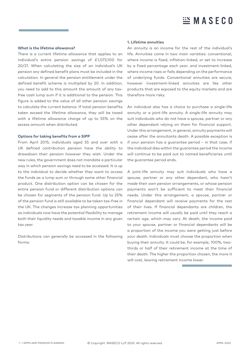#### **What is the lifetime allowance?**

There is a current lifetime allowance that applies to an individual's entire pension savings of £1,073,100 for 20/21. When calculating the size of an individual's UK pension any defined benefit plans must be included in the calculation. In general the pension entitlement under the defined benefit scheme is multiplied by 20. In addition, you need to add to this amount the amount of any taxfree cash lump sum if it is additional to the pension. This figure is added to the value of all other pension savings to calculate the current balance. If total pension benefits taken exceed the lifetime allowance, they will be taxed with a lifetime allowance charge of up to 55% on the excess amount when distributed.

#### **Options for taking benefits from a SIPP**

From April 2015, individuals aged 55 and over with a UK defined contribution pension have the ability to drawdown their pension however they wish. Under the new rules, the government does not mandate a particular way in which pension savings need to be accessed. It is up to the individual to decide whether they want to access the funds as a lump sum or through some other financial product. One distribution option can be chosen for the entire pension fund or different distribution options can be chosen for segments of the pension fund. Up to 25% of the pension fund is still available to be taken tax-free in the UK. The changes increase tax planning opportunities as individuals now have the potential flexibility to manage both their liquidity needs and taxable income in any given tax year.

Distributions can generally be accessed in the following forms:

#### **1. Lifetime annuities**

An annuity is an income for the rest of the individual's life. Annuities come in two main varieties: conventional, where income is fixed, inflation-linked, or set to increase by a fixed percentage each year; and investment-linked, where income rises or falls depending on the performance of underlying funds. Conventional annuities are secure, however investment-linked annuities are like other products that are exposed to the equity markets and are therefore more risky.

An individual also has a choice to purchase a single-life annuity or a joint-life annuity. A single-life annuity may suit individuals who do not have a spouse, partner or any other dependant relying on them for financial support. Under this arrangement, in general, annuity payments will cease after the annuitants death. A possible exception is if your pension has a guarantee period – in that case, if the individual dies within the guarantee period the income will continue to be paid out to named beneficiaries until the guarantee period ends.

A joint-life annuity may suit individuals who have a spouse, partner or any other dependant, who hasn't made their own pension arrangements, or whose pension payments won't be sufficient to meet their financial needs. Under this arrangement, a spouse, partner or financial dependant will receive payments for the rest of their lives. If financial dependants are children, the retirement income will usually be paid until they reach a certain age, which may vary. At death, the income paid to your spouse, partner or financial dependants will be a proportion of the income you were getting just before your death. Individuals must choose the proportion when buying their annuity. It could be, for example, 100%, twothirds or half of their retirement income at the time of their death. The higher the proportion chosen, the more it will cost, leaving retirement income lower.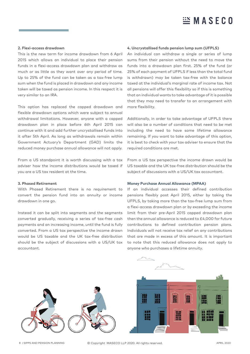#### **2. Flexi-access drawdown**

This is the new term for income drawdown from 6 April 2015 which allows an individual to place their pension funds in a flexi-access drawdown plan and withdraw as much or as little as they want over any period of time. Up to 25% of the fund can be taken as a tax-free lump sum when the fund is placed in drawdown and any income taken will be taxed as pension income. In this respect it is very similar to an IRA.

This option has replaced the capped drawdown and flexible drawdown options which were subject to annual withdrawal limitations. However, anyone with a capped drawdown plan in place before 6th April 2015 can continue with it and add further uncrystallised funds into it after 5th April. As long as withdrawals remain within Government Actuary's Department (GAD) limits the reduced money purchase annual allowance will not apply.

From a US standpoint it is worth discussing with a tax adviser how the income distributions would be taxed if you are a US tax resident at the time.

#### **3. Phased Retirement**

With Phased Retirement there is no requirement to convert the pension fund into an annuity or income drawdown in one go.

Instead it can be split into segments and the segments converted gradually, receiving a series of tax-free cash payments and an increasing income, until the fund is fully converted. From a US tax perspective the income drawn would be US taxable and the UK tax-free distribution should be the subject of discussions with a US/UK tax accountant.

#### **4. Uncrystallised funds pension lump sum (UFPLS)**

An individual can withdraw a single or series of lump sums from their pension without the need to move the funds into a drawdown plan first. 25% of the fund (or 25% of each payment of UFPLS if less than the total fund is withdrawn) may be taken tax-free with the balance taxed at the individual's marginal rate of income tax. Not all pensions will offer this flexibility so if this is something that an individual wants to take advantage of it is possible that they may need to transfer to an arrangement with more flexibility.

Additionally, in order to take advantage of UFPLS there will also be a number of conditions that need to be met including the need to have some lifetime allowance remaining. If you want to take advantage of this option, it is best to check with your tax adviser to ensure that the required conditions are met.

From a US tax perspective the income drawn would be US taxable and the UK tax-free distribution should be the subject of discussions with a US/UK tax accountant.

#### **Money Purchase Annual Allowance (MPAA)**

If an individual accesses their defined contribution pensions flexibly post April 2015, either by taking the UFPLS, by taking more than the tax-free lump sum from a flexi-access drawdown plan or by exceeding the income limit from their pre-April 2015 capped drawdown plan then the annual allowance is reduced to £4,000 for future contributions to defined contribution pension plans. Individuals will not receive tax relief on any contributions that are made in excess of this amount. It is important to note that this reduced allowance does not apply to anyone who purchases a lifetime annuity.



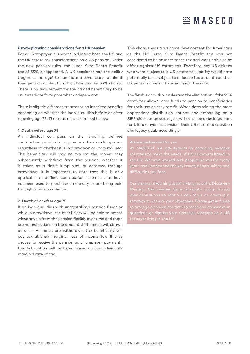#### **Estate planning considerations for a UK pension**

For a US taxpayer it is worth looking at both the US and the UK estate tax considerations on a UK pension. Under the new pension rules, the Lump Sum Death Benefit tax of 55% disappeared. A UK pensioner has the ability (regardless of age) to nominate a beneficiary to inherit their pension at death, rather than pay the 55% charge. There is no requirement for the named beneficiary to be an immediate family member or dependant.

There is slightly different treatment on inherited benefits depending on whether the individual dies before or after reaching age 75. The treatment is outlined below:

#### **1. Death before age 75**

An individual can pass on the remaining defined contribution pension to anyone as a tax-free lump sum, regardless of whether it is in drawdown or uncrystallised. The beneficiary will pay no tax on the money they subsequently withdraw from the pension, whether it is taken as a single lump sum, or accessed through drawdown. It is important to note that this is only applicable to defined contribution schemes that have not been used to purchase an annuity or are being paid through a pension scheme.

#### **2. Death at or after age 75**

If an individual dies with uncrystallised pension funds or while in drawdown, the beneficiary will be able to access withdrawals from the pension flexibly over time and there are no restrictions on the amount that can be withdrawn at once. As funds are withdrawn, the beneficiary will pay tax at their marginal rate of income tax. If they choose to receive the pension as a lump sum payment., the distribution will be taxed based on the individual's marginal rate of tax.

This change was a welcome development for Americans as the UK Lump Sum Death Benefit tax was not considered to be an inheritance tax and was unable to be offset against US estate tax. Therefore, any US citizens who were subject to a US estate tax liability would have potentially been subject to a double tax at death on their UK pension assets. This is no longer the case.

The flexible drawdown rules and the elimination of the 55% death tax allows more funds to pass on to beneficiaries for their use as they see fit. When determining the most appropriate distribution options and embarking on a SIPP distribution strategy it will continue to be important for US taxpayers to consider their US estate tax position and legacy goals accordingly.

the UK. We have worked with people like you for man**y** 

your aspirations so that we can focus on creating a